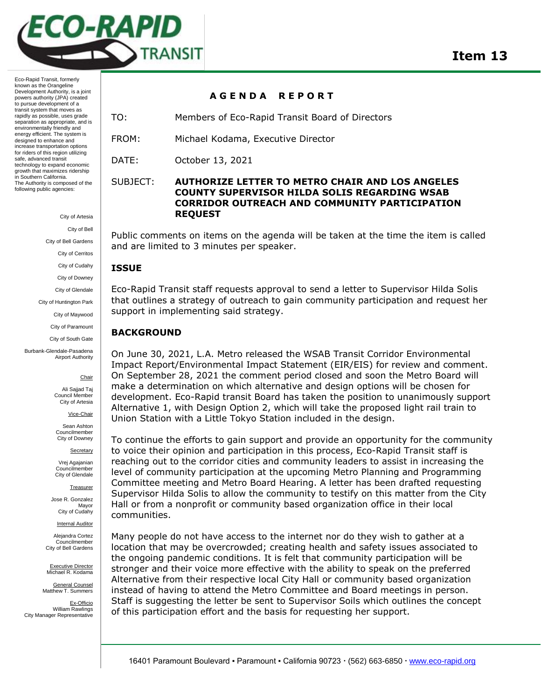

Eco-Rapid Transit, formerly known as the Orangeline Development Authority, is a joint powers authority (JPA) created to pursue development of a transit system that moves as rapidly as possible, uses grade separation as appropriate, and is environmentally friendly and energy efficient. The system is designed to enhance and increase transportation options for riders of this region utilizing safe, advanced transit technology to expand economic growth that maximizes ridership in Southern California. The Authority is composed of the following public agencies:

City of Artesia

City of Bell

City of Bell Gardens

City of Cerritos

City of Cudahy

City of Downey

City of Glendale

City of Huntington Park

City of Maywood

City of Paramount

City of South Gate

Burbank-Glendale-Pasadena Airport Authority

**Chair** 

Ali Sajjad Taj Council Membe City of Artesia

Vice-Chair

Sean Ashton Councilmember City of Downey

Secretary

Vrej Agajanian Councilmember City of Glendale

**Treasurer** 

Jose R. Gonzalez Mayor City of Cudahy

**Internal Auditor** 

Alejandra Cortez Councilmember City of Bell Gardens

Executive Director Michael R. Kodama

General Counsel Matthew T. Summers

Ex-Officio William Rawlings City Manager Representative

**A G E N D A R E P O R T** 

TO: Members of Eco-Rapid Transit Board of Directors

FROM: Michael Kodama, Executive Director

DATE: October 13, 2021

# SUBJECT: **AUTHORIZE LETTER TO METRO CHAIR AND LOS ANGELES COUNTY SUPERVISOR HILDA SOLIS REGARDING WSAB CORRIDOR OUTREACH AND COMMUNITY PARTICIPATION REQUEST**

Public comments on items on the agenda will be taken at the time the item is called and are limited to 3 minutes per speaker.

### **ISSUE**

Eco-Rapid Transit staff requests approval to send a letter to Supervisor Hilda Solis that outlines a strategy of outreach to gain community participation and request her support in implementing said strategy.

### **BACKGROUND**

On June 30, 2021, L.A. Metro released the WSAB Transit Corridor Environmental Impact Report/Environmental Impact Statement (EIR/EIS) for review and comment. On September 28, 2021 the comment period closed and soon the Metro Board will make a determination on which alternative and design options will be chosen for development. Eco-Rapid transit Board has taken the position to unanimously support Alternative 1, with Design Option 2, which will take the proposed light rail train to Union Station with a Little Tokyo Station included in the design.

To continue the efforts to gain support and provide an opportunity for the community to voice their opinion and participation in this process, Eco-Rapid Transit staff is reaching out to the corridor cities and community leaders to assist in increasing the level of community participation at the upcoming Metro Planning and Programming Committee meeting and Metro Board Hearing. A letter has been drafted requesting Supervisor Hilda Solis to allow the community to testify on this matter from the City Hall or from a nonprofit or community based organization office in their local communities.

Many people do not have access to the internet nor do they wish to gather at a location that may be overcrowded; creating health and safety issues associated to the ongoing pandemic conditions. It is felt that community participation will be stronger and their voice more effective with the ability to speak on the preferred Alternative from their respective local City Hall or community based organization instead of having to attend the Metro Committee and Board meetings in person. Staff is suggesting the letter be sent to Supervisor Soils which outlines the concept of this participation effort and the basis for requesting her support.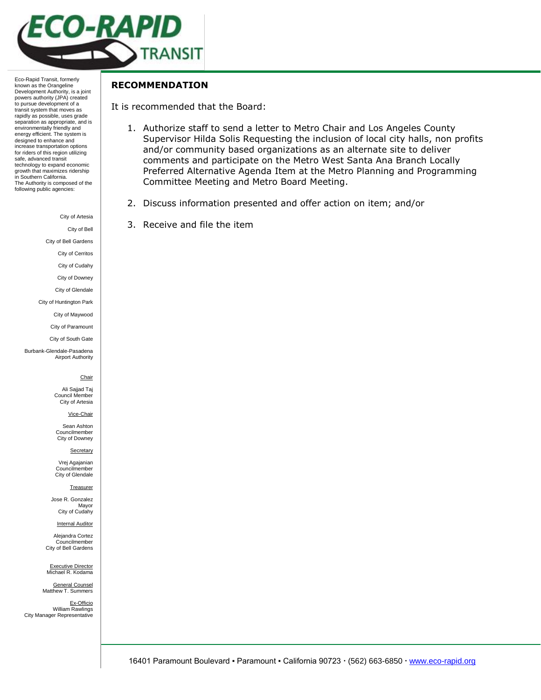

Eco-Rapid Transit, formerly known as the Orangeline Development Authority, is a joint powers authority (JPA) created to pursue development of a transit system that moves as rapidly as possible, uses grade separation as appropriate, and is environmentally friendly and energy efficient. The system is designed to enhance and increase transportation options for riders of this region utilizing safe, advanced transit technology to expand economic growth that maximizes ridership in Southern California. The Authority is composed of the following public agencies:

City of Artesia

City of Bell

City of Bell Gardens

City of Cerritos

City of Cudahy

City of Downey City of Glendale

City of Huntington Park

City of Maywood

City of Paramount

City of South Gate

Burbank-Glendale-Pasadena Airport Authority

### **Chair**

Ali Sajjad Taj Council Member City of Artesia

Vice-Chair

Sean Ashton Councilmember City of Downey

Secretary

Vrej Agajanian Councilmember City of Glendale

#### **Treasurer**

Jose R. Gonzalez Mayor City of Cudahy

**Internal Auditor** 

Alejandra Cortez Councilmember City of Bell Gardens

Executive Director Michael R. Kodama

General Counsel Matthew T. Summers

Ex-Officio William Rawlings City Manager Representative

## **RECOMMENDATION**

It is recommended that the Board:

- 1. Authorize staff to send a letter to Metro Chair and Los Angeles County Supervisor Hilda Solis Requesting the inclusion of local city halls, non profits and/or community based organizations as an alternate site to deliver comments and participate on the Metro West Santa Ana Branch Locally Preferred Alternative Agenda Item at the Metro Planning and Programming Committee Meeting and Metro Board Meeting.
- 2. Discuss information presented and offer action on item; and/or
- 3. Receive and file the item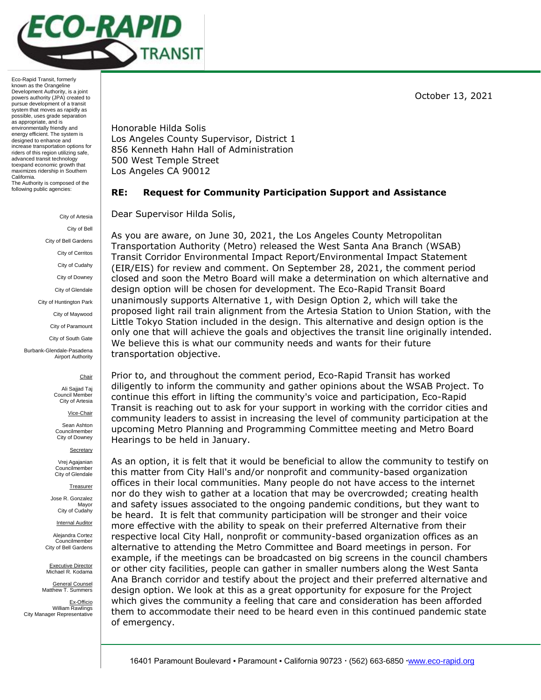October 13, 2021



Eco-Rapid Transit, formerly known as the Orangeline Development Authority, is a joint powers authority (JPA) created to pursue development of a transit system that moves as rapidly as possible, uses grade separation as appropriate, and is environmentally friendly and energy efficient. The system is designed to enhance and increase transportation options for riders of this region utilizing safe, advanced transit technology toexpand economic growth that maximizes ridership in Southern California. The Authority is composed of the following public agencies:

> City of Artesia City of Bel City of Bell Gardens City of Cerritos City of Cudahy City of Downey City of Glendale City of Huntington Park City of Maywood City of Paramount City of South Gate Burbank-Glendale-Pasadena Airport Authority

#### **Chair**

Ali Sajjad Taj Council Member City of Artesia

Vice-Chair

Sean Ashton Councilmember City of Downey

**Secretary** 

Vrej Agajanian Councilmember City of Glendale

Treasurer

Jose R. Gonzalez Mayor City of Cudahy

Internal Auditor

Alejandra Cortez **Councilmember** City of Bell Gardens

Executive Director Michael R. Kodama

General Counsel Matthew T. Summers

Ex-Officio William Rawlings City Manager Representative Honorable Hilda Solis Los Angeles County Supervisor, District 1 856 Kenneth Hahn Hall of Administration 500 West Temple Street Los Angeles CA 90012

### **RE: Request for Community Participation Support and Assistance**

Dear Supervisor Hilda Solis,

As you are aware, on June 30, 2021, the Los Angeles County Metropolitan Transportation Authority (Metro) released the West Santa Ana Branch (WSAB) Transit Corridor Environmental Impact Report/Environmental Impact Statement (EIR/EIS) for review and comment. On September 28, 2021, the comment period closed and soon the Metro Board will make a determination on which alternative and design option will be chosen for development. The Eco-Rapid Transit Board unanimously supports Alternative 1, with Design Option 2, which will take the proposed light rail train alignment from the Artesia Station to Union Station, with the Little Tokyo Station included in the design. This alternative and design option is the only one that will achieve the goals and objectives the transit line originally intended. We believe this is what our community needs and wants for their future transportation objective.

Prior to, and throughout the comment period, Eco-Rapid Transit has worked diligently to inform the community and gather opinions about the WSAB Project. To continue this effort in lifting the community's voice and participation, Eco-Rapid Transit is reaching out to ask for your support in working with the corridor cities and community leaders to assist in increasing the level of community participation at the upcoming Metro Planning and Programming Committee meeting and Metro Board Hearings to be held in January.

As an option, it is felt that it would be beneficial to allow the community to testify on this matter from City Hall's and/or nonprofit and community-based organization offices in their local communities. Many people do not have access to the internet nor do they wish to gather at a location that may be overcrowded; creating health and safety issues associated to the ongoing pandemic conditions, but they want to be heard. It is felt that community participation will be stronger and their voice more effective with the ability to speak on their preferred Alternative from their respective local City Hall, nonprofit or community-based organization offices as an alternative to attending the Metro Committee and Board meetings in person. For example, if the meetings can be broadcasted on big screens in the council chambers or other city facilities, people can gather in smaller numbers along the West Santa Ana Branch corridor and testify about the project and their preferred alternative and design option. We look at this as a great opportunity for exposure for the Project which gives the community a feeling that care and consideration has been afforded them to accommodate their need to be heard even in this continued pandemic state of emergency.

16401 Paramount Boulevard ▪ Paramount ▪ California 90723 (562) 663-6850 [www.eco-rapid.org](about:blank)